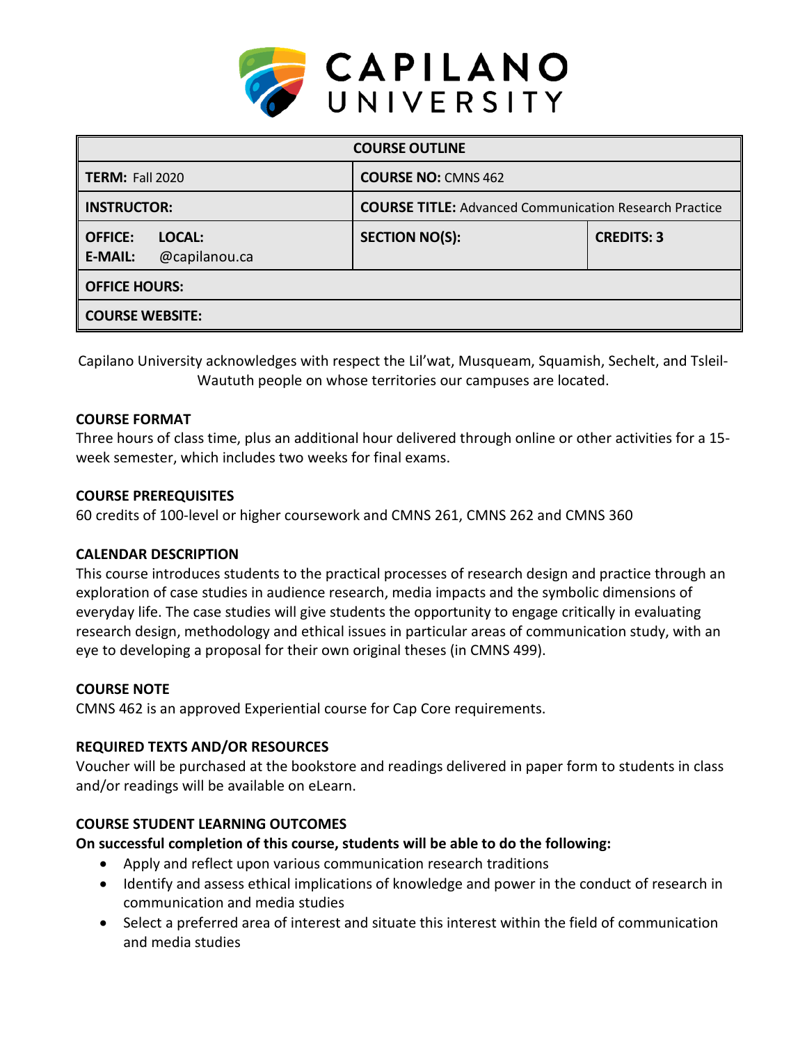

| <b>COURSE OUTLINE</b>                                       |                                                               |                   |  |  |  |
|-------------------------------------------------------------|---------------------------------------------------------------|-------------------|--|--|--|
| <b>TERM: Fall 2020</b>                                      | <b>COURSE NO: CMNS 462</b>                                    |                   |  |  |  |
| <b>INSTRUCTOR:</b>                                          | <b>COURSE TITLE:</b> Advanced Communication Research Practice |                   |  |  |  |
| <b>OFFICE:</b><br>LOCAL:<br>@capilanou.ca<br><b>E-MAIL:</b> | <b>SECTION NO(S):</b>                                         | <b>CREDITS: 3</b> |  |  |  |
| <b>OFFICE HOURS:</b>                                        |                                                               |                   |  |  |  |
| <b>COURSE WEBSITE:</b>                                      |                                                               |                   |  |  |  |

Capilano University acknowledges with respect the Lil'wat, Musqueam, Squamish, Sechelt, and Tsleil-Waututh people on whose territories our campuses are located.

### **COURSE FORMAT**

Three hours of class time, plus an additional hour delivered through online or other activities for a 15 week semester, which includes two weeks for final exams.

#### **COURSE PREREQUISITES**

60 credits of 100-level or higher coursework and CMNS 261, CMNS 262 and CMNS 360

## **CALENDAR DESCRIPTION**

This course introduces students to the practical processes of research design and practice through an exploration of case studies in audience research, media impacts and the symbolic dimensions of everyday life. The case studies will give students the opportunity to engage critically in evaluating research design, methodology and ethical issues in particular areas of communication study, with an eye to developing a proposal for their own original theses (in CMNS 499).

#### **COURSE NOTE**

CMNS 462 is an approved Experiential course for Cap Core requirements.

### **REQUIRED TEXTS AND/OR RESOURCES**

Voucher will be purchased at the bookstore and readings delivered in paper form to students in class and/or readings will be available on eLearn.

#### **COURSE STUDENT LEARNING OUTCOMES**

**On successful completion of this course, students will be able to do the following:**

- Apply and reflect upon various communication research traditions
- Identify and assess ethical implications of knowledge and power in the conduct of research in communication and media studies
- Select a preferred area of interest and situate this interest within the field of communication and media studies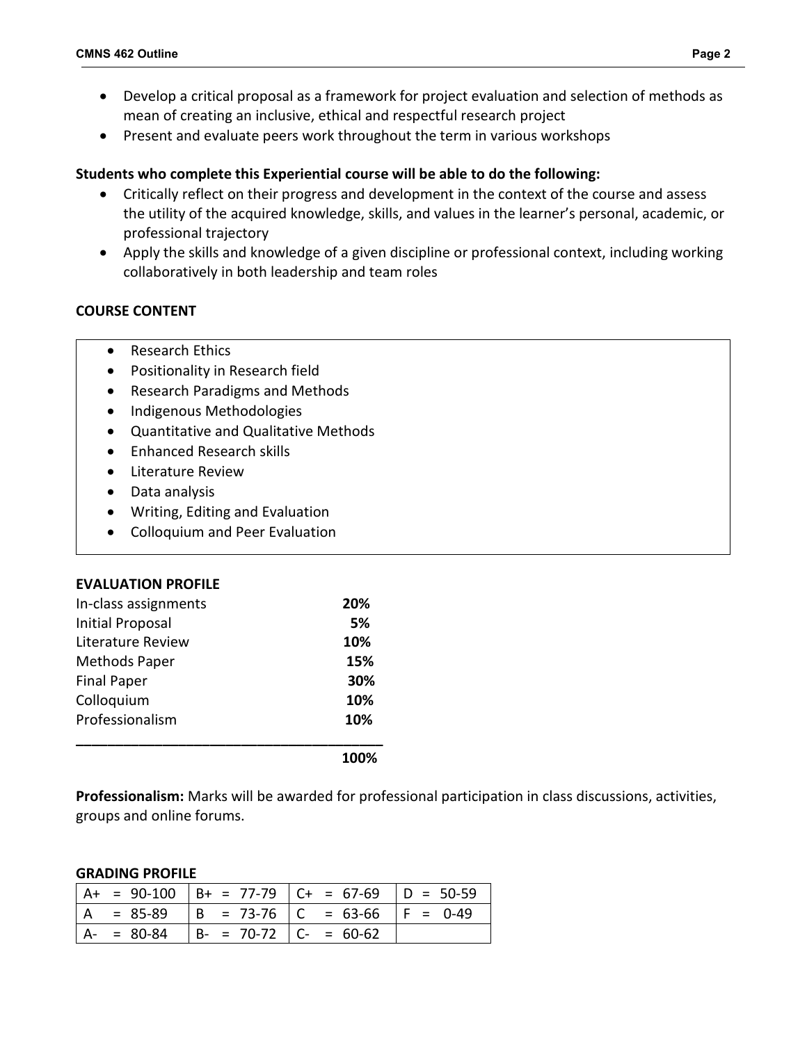- Develop a critical proposal as a framework for project evaluation and selection of methods as mean of creating an inclusive, ethical and respectful research project
- Present and evaluate peers work throughout the term in various workshops

## **Students who complete this Experiential course will be able to do the following:**

- Critically reflect on their progress and development in the context of the course and assess the utility of the acquired knowledge, skills, and values in the learner's personal, academic, or professional trajectory
- Apply the skills and knowledge of a given discipline or professional context, including working collaboratively in both leadership and team roles

# **COURSE CONTENT**

- Research Ethics
- Positionality in Research field
- Research Paradigms and Methods
- Indigenous Methodologies
- Quantitative and Qualitative Methods
- Enhanced Research skills
- Literature Review
- Data analysis
- Writing, Editing and Evaluation
- Colloquium and Peer Evaluation

### **EVALUATION PROFILE**

| In-class assignments | 20% |
|----------------------|-----|
| Initial Proposal     | 5%  |
| Literature Review    | 10% |
| <b>Methods Paper</b> | 15% |
| <b>Final Paper</b>   | 30% |
| Colloquium           | 10% |
| Professionalism      | 10% |
|                      |     |

**Professionalism:** Marks will be awarded for professional participation in class discussions, activities, groups and online forums.

#### **GRADING PROFILE**

|                |               |                               | A+ = 90-100   B+ = 77-79   C+ = 67-69   D = 50-59 |  |
|----------------|---------------|-------------------------------|---------------------------------------------------|--|
| $\overline{A}$ | $= 85-89$     |                               | $  B = 73-76   C = 63-66   F = 0-49$              |  |
|                | $A - = 80-84$ | $  B - = 70-72   C - = 60-62$ |                                                   |  |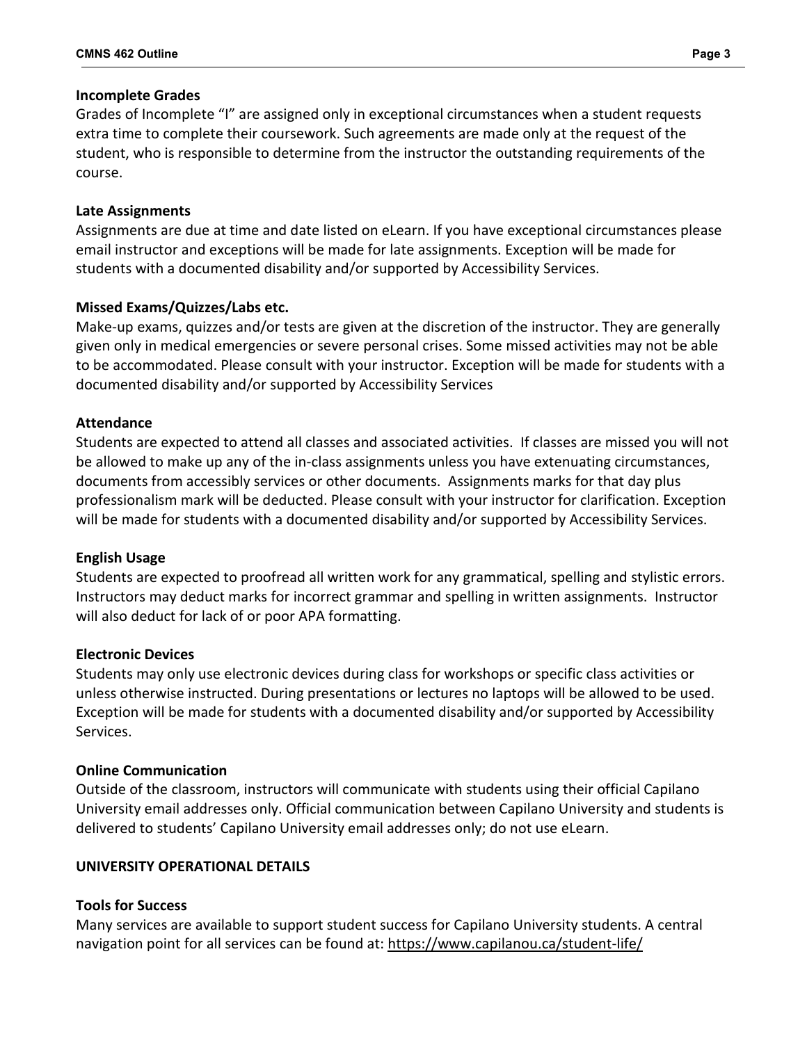#### **Incomplete Grades**

Grades of Incomplete "I" are assigned only in exceptional circumstances when a student requests extra time to complete their coursework. Such agreements are made only at the request of the student, who is responsible to determine from the instructor the outstanding requirements of the course.

#### **Late Assignments**

Assignments are due at time and date listed on eLearn. If you have exceptional circumstances please email instructor and exceptions will be made for late assignments. Exception will be made for students with a documented disability and/or supported by Accessibility Services.

### **Missed Exams/Quizzes/Labs etc.**

Make-up exams, quizzes and/or tests are given at the discretion of the instructor. They are generally given only in medical emergencies or severe personal crises. Some missed activities may not be able to be accommodated. Please consult with your instructor. Exception will be made for students with a documented disability and/or supported by Accessibility Services

#### **Attendance**

Students are expected to attend all classes and associated activities. If classes are missed you will not be allowed to make up any of the in-class assignments unless you have extenuating circumstances, documents from accessibly services or other documents. Assignments marks for that day plus professionalism mark will be deducted. Please consult with your instructor for clarification. Exception will be made for students with a documented disability and/or supported by Accessibility Services.

### **English Usage**

Students are expected to proofread all written work for any grammatical, spelling and stylistic errors. Instructors may deduct marks for incorrect grammar and spelling in written assignments. Instructor will also deduct for lack of or poor APA formatting.

#### **Electronic Devices**

Students may only use electronic devices during class for workshops or specific class activities or unless otherwise instructed. During presentations or lectures no laptops will be allowed to be used. Exception will be made for students with a documented disability and/or supported by Accessibility Services.

#### **Online Communication**

Outside of the classroom, instructors will communicate with students using their official Capilano University email addresses only. Official communication between Capilano University and students is delivered to students' Capilano University email addresses only; do not use eLearn.

#### **UNIVERSITY OPERATIONAL DETAILS**

### **Tools for Success**

Many services are available to support student success for Capilano University students. A central navigation point for all services can be found at:<https://www.capilanou.ca/student-life/>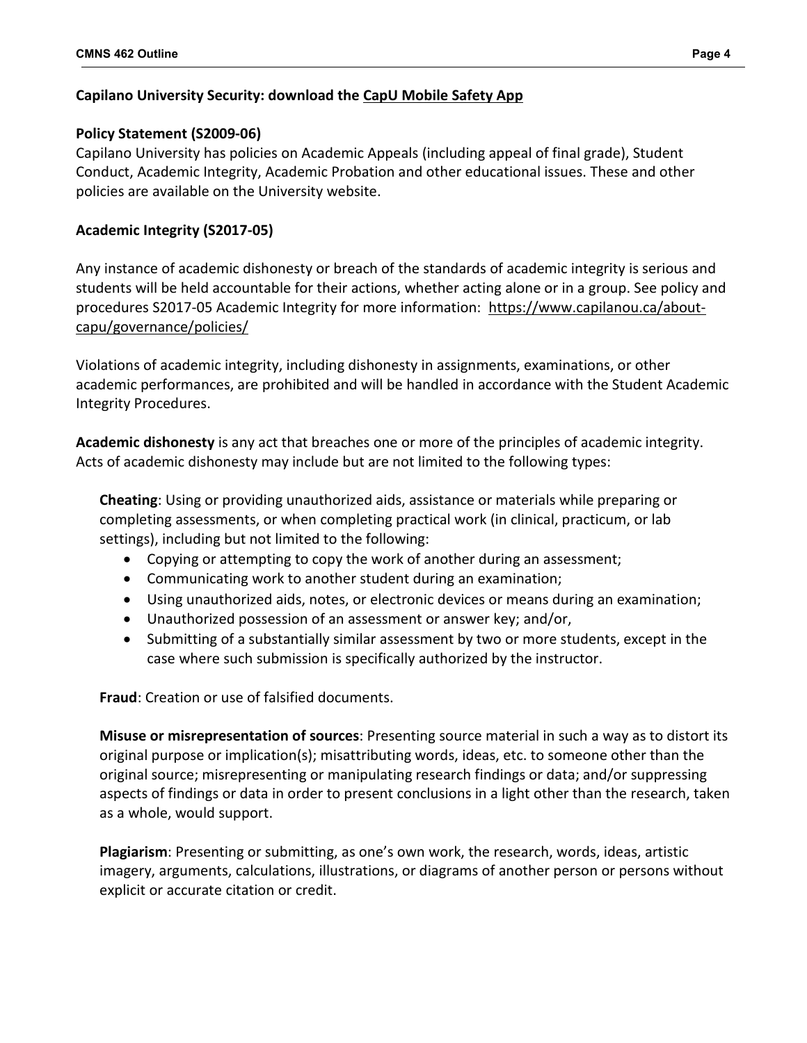# **Capilano University Security: download the [CapU Mobile Safety App](https://www.capilanou.ca/student-life/support--wellness/safety--security/capu-safe-app/)**

# **Policy Statement (S2009-06)**

Capilano University has policies on Academic Appeals (including appeal of final grade), Student Conduct, Academic Integrity, Academic Probation and other educational issues. These and other policies are available on the University website.

# **Academic Integrity (S2017-05)**

Any instance of academic dishonesty or breach of the standards of academic integrity is serious and students will be held accountable for their actions, whether acting alone or in a group. See policy and procedures S2017-05 Academic Integrity for more information: [https://www.capilanou.ca/about](https://www.capilanou.ca/about-capu/governance/policies/)[capu/governance/policies/](https://www.capilanou.ca/about-capu/governance/policies/)

Violations of academic integrity, including dishonesty in assignments, examinations, or other academic performances, are prohibited and will be handled in accordance with the Student Academic Integrity Procedures.

**Academic dishonesty** is any act that breaches one or more of the principles of academic integrity. Acts of academic dishonesty may include but are not limited to the following types:

**Cheating**: Using or providing unauthorized aids, assistance or materials while preparing or completing assessments, or when completing practical work (in clinical, practicum, or lab settings), including but not limited to the following:

- Copying or attempting to copy the work of another during an assessment;
- Communicating work to another student during an examination;
- Using unauthorized aids, notes, or electronic devices or means during an examination;
- Unauthorized possession of an assessment or answer key; and/or,
- Submitting of a substantially similar assessment by two or more students, except in the case where such submission is specifically authorized by the instructor.

**Fraud**: Creation or use of falsified documents.

**Misuse or misrepresentation of sources**: Presenting source material in such a way as to distort its original purpose or implication(s); misattributing words, ideas, etc. to someone other than the original source; misrepresenting or manipulating research findings or data; and/or suppressing aspects of findings or data in order to present conclusions in a light other than the research, taken as a whole, would support.

**Plagiarism**: Presenting or submitting, as one's own work, the research, words, ideas, artistic imagery, arguments, calculations, illustrations, or diagrams of another person or persons without explicit or accurate citation or credit.